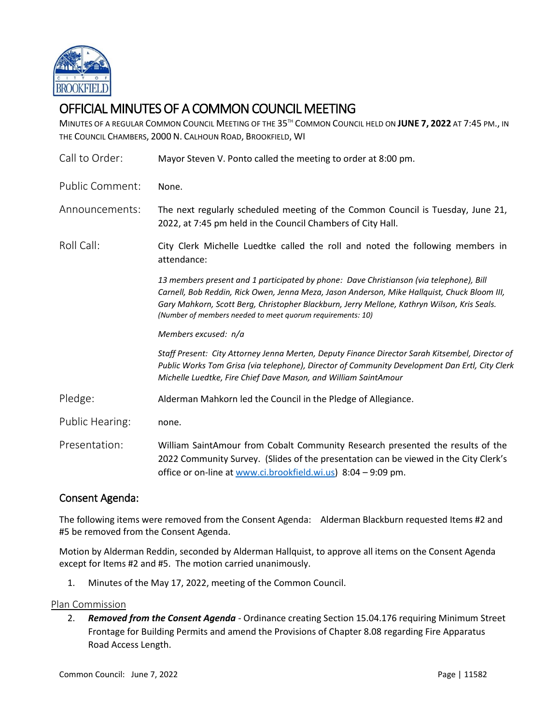

# OFFICIAL MINUTES OF A COMMON COUNCIL MEETING

MINUTES OF A REGULAR COMMON COUNCIL MEETING OF THE 35 TH COMMON COUNCIL HELD ON **JUNE 7, 2022** AT 7:45 PM., IN THE COUNCIL CHAMBERS, 2000 N. CALHOUN ROAD, BROOKFIELD, WI

| Call to Order:  | Mayor Steven V. Ponto called the meeting to order at 8:00 pm.                                                                                                                                                                                                                                                                                        |
|-----------------|------------------------------------------------------------------------------------------------------------------------------------------------------------------------------------------------------------------------------------------------------------------------------------------------------------------------------------------------------|
| Public Comment: | None.                                                                                                                                                                                                                                                                                                                                                |
| Announcements:  | The next regularly scheduled meeting of the Common Council is Tuesday, June 21,<br>2022, at 7:45 pm held in the Council Chambers of City Hall.                                                                                                                                                                                                       |
| Roll Call:      | City Clerk Michelle Luedtke called the roll and noted the following members in<br>attendance:                                                                                                                                                                                                                                                        |
|                 | 13 members present and 1 participated by phone: Dave Christianson (via telephone), Bill<br>Carnell, Bob Reddin, Rick Owen, Jenna Meza, Jason Anderson, Mike Hallquist, Chuck Bloom III,<br>Gary Mahkorn, Scott Berg, Christopher Blackburn, Jerry Mellone, Kathryn Wilson, Kris Seals.<br>(Number of members needed to meet quorum requirements: 10) |
|                 | Members excused: n/a                                                                                                                                                                                                                                                                                                                                 |
|                 | Staff Present: City Attorney Jenna Merten, Deputy Finance Director Sarah Kitsembel, Director of<br>Public Works Tom Grisa (via telephone), Director of Community Development Dan Ertl, City Clerk<br>Michelle Luedtke, Fire Chief Dave Mason, and William SaintAmour                                                                                 |
| Pledge:         | Alderman Mahkorn led the Council in the Pledge of Allegiance.                                                                                                                                                                                                                                                                                        |
| Public Hearing: | none.                                                                                                                                                                                                                                                                                                                                                |
| Presentation:   | William SaintAmour from Cobalt Community Research presented the results of the<br>2022 Community Survey. (Slides of the presentation can be viewed in the City Clerk's<br>office or on-line at www.ci.brookfield.wi.us) 8:04 - 9:09 pm.                                                                                                              |
|                 |                                                                                                                                                                                                                                                                                                                                                      |

## Consent Agenda:

The following items were removed from the Consent Agenda: Alderman Blackburn requested Items #2 and #5 be removed from the Consent Agenda.

Motion by Alderman Reddin, seconded by Alderman Hallquist, to approve all items on the Consent Agenda except for Items #2 and #5. The motion carried unanimously.

1. Minutes of the May 17, 2022, meeting of the Common Council.

#### Plan Commission

2. *Removed from the Consent Agenda -* Ordinance creating Section 15.04.176 requiring Minimum Street Frontage for Building Permits and amend the Provisions of Chapter 8.08 regarding Fire Apparatus Road Access Length.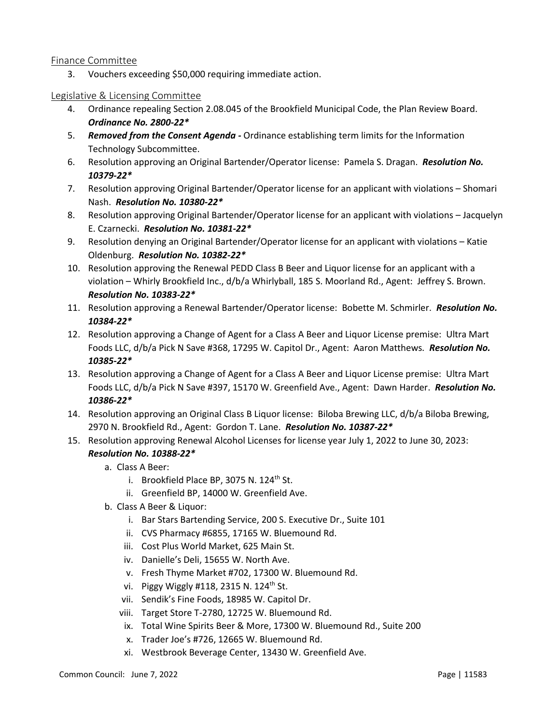#### Finance Committee

3. Vouchers exceeding \$50,000 requiring immediate action.

#### Legislative & Licensing Committee

- 4. Ordinance repealing Section 2.08.045 of the Brookfield Municipal Code, the Plan Review Board. *Ordinance No. 2800-22\**
- 5. *Removed from the Consent Agenda -* Ordinance establishing term limits for the Information Technology Subcommittee.
- 6. Resolution approving an Original Bartender/Operator license: Pamela S. Dragan. *Resolution No. 10379-22\**
- 7. Resolution approving Original Bartender/Operator license for an applicant with violations Shomari Nash. *Resolution No. 10380-22\**
- 8. Resolution approving Original Bartender/Operator license for an applicant with violations Jacquelyn E. Czarnecki. *Resolution No. 10381-22\**
- 9. Resolution denying an Original Bartender/Operator license for an applicant with violations Katie Oldenburg. *Resolution No. 10382-22\**
- 10. Resolution approving the Renewal PEDD Class B Beer and Liquor license for an applicant with a violation – Whirly Brookfield Inc., d/b/a Whirlyball, 185 S. Moorland Rd., Agent: Jeffrey S. Brown. *Resolution No. 10383-22\**
- 11. Resolution approving a Renewal Bartender/Operator license: Bobette M. Schmirler. *Resolution No. 10384-22\**
- 12. Resolution approving a Change of Agent for a Class A Beer and Liquor License premise: Ultra Mart Foods LLC, d/b/a Pick N Save #368, 17295 W. Capitol Dr., Agent: Aaron Matthews. *Resolution No. 10385-22\**
- 13. Resolution approving a Change of Agent for a Class A Beer and Liquor License premise: Ultra Mart Foods LLC, d/b/a Pick N Save #397, 15170 W. Greenfield Ave., Agent: Dawn Harder. *Resolution No. 10386-22\**
- 14. Resolution approving an Original Class B Liquor license: Biloba Brewing LLC, d/b/a Biloba Brewing, 2970 N. Brookfield Rd., Agent: Gordon T. Lane. *Resolution No. 10387-22\**
- 15. Resolution approving Renewal Alcohol Licenses for license year July 1, 2022 to June 30, 2023: *Resolution No. 10388-22\**
	- a. Class A Beer:
		- i. Brookfield Place BP, 3075 N.  $124<sup>th</sup>$  St.
		- ii. Greenfield BP, 14000 W. Greenfield Ave.
	- b. Class A Beer & Liquor:
		- i. Bar Stars Bartending Service, 200 S. Executive Dr., Suite 101
		- ii. CVS Pharmacy #6855, 17165 W. Bluemound Rd.
		- iii. Cost Plus World Market, 625 Main St.
		- iv. Danielle's Deli, 15655 W. North Ave.
		- v. Fresh Thyme Market #702, 17300 W. Bluemound Rd.
		- vi. Piggy Wiggly #118, 2315 N. 124<sup>th</sup> St.
		- vii. Sendik's Fine Foods, 18985 W. Capitol Dr.
		- viii. Target Store T-2780, 12725 W. Bluemound Rd.
		- ix. Total Wine Spirits Beer & More, 17300 W. Bluemound Rd., Suite 200
		- x. Trader Joe's #726, 12665 W. Bluemound Rd.
		- xi. Westbrook Beverage Center, 13430 W. Greenfield Ave.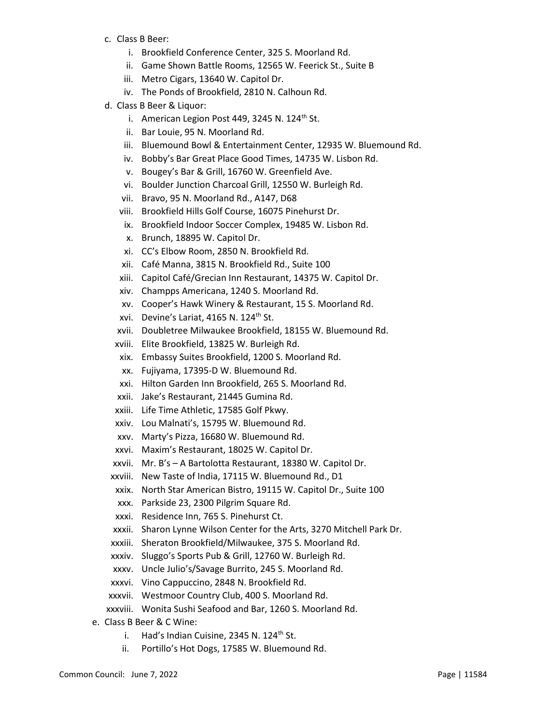- c. Class B Beer:
	- i. Brookfield Conference Center, 325 S. Moorland Rd.
	- ii. Game Shown Battle Rooms, 12565 W. Feerick St., Suite B
	- iii. Metro Cigars, 13640 W. Capitol Dr.
	- iv. The Ponds of Brookfield, 2810 N. Calhoun Rd.
- d. Class B Beer & Liquor:
	- i. American Legion Post 449, 3245 N. 124<sup>th</sup> St.
	- ii. Bar Louie, 95 N. Moorland Rd.
	- iii. Bluemound Bowl & Entertainment Center, 12935 W. Bluemound Rd.
	- iv. Bobby's Bar Great Place Good Times, 14735 W. Lisbon Rd.
	- v. Bougey's Bar & Grill, 16760 W. Greenfield Ave.
	- vi. Boulder Junction Charcoal Grill, 12550 W. Burleigh Rd.
	- vii. Bravo, 95 N. Moorland Rd., A147, D68
	- viii. Brookfield Hills Golf Course, 16075 Pinehurst Dr.
	- ix. Brookfield Indoor Soccer Complex, 19485 W. Lisbon Rd.
	- x. Brunch, 18895 W. Capitol Dr.
	- xi. CC's Elbow Room, 2850 N. Brookfield Rd.
	- xii. Café Manna, 3815 N. Brookfield Rd., Suite 100
	- xiii. Capitol Café/Grecian Inn Restaurant, 14375 W. Capitol Dr.
	- xiv. Champps Americana, 1240 S. Moorland Rd.
	- xv. Cooper's Hawk Winery & Restaurant, 15 S. Moorland Rd.
	- xvi. Devine's Lariat, 4165 N. 124<sup>th</sup> St.
	- xvii. Doubletree Milwaukee Brookfield, 18155 W. Bluemound Rd.
	- xviii. Elite Brookfield, 13825 W. Burleigh Rd.
	- xix. Embassy Suites Brookfield, 1200 S. Moorland Rd.
	- xx. Fujiyama, 17395-D W. Bluemound Rd.
	- xxi. Hilton Garden Inn Brookfield, 265 S. Moorland Rd.
	- xxii. Jake's Restaurant, 21445 Gumina Rd.
	- xxiii. Life Time Athletic, 17585 Golf Pkwy.
	- xxiv. Lou Malnati's, 15795 W. Bluemound Rd.
	- xxv. Marty's Pizza, 16680 W. Bluemound Rd.
	- xxvi. Maxim's Restaurant, 18025 W. Capitol Dr.
	- xxvii. Mr. B's A Bartolotta Restaurant, 18380 W. Capitol Dr.
	- xxviii. New Taste of India, 17115 W. Bluemound Rd., D1
	- xxix. North Star American Bistro, 19115 W. Capitol Dr., Suite 100
	- xxx. Parkside 23, 2300 Pilgrim Square Rd.
	- xxxi. Residence Inn, 765 S. Pinehurst Ct.
	- xxxii. Sharon Lynne Wilson Center for the Arts, 3270 Mitchell Park Dr.
	- xxxiii. Sheraton Brookfield/Milwaukee, 375 S. Moorland Rd.
	- xxxiv. Sluggo's Sports Pub & Grill, 12760 W. Burleigh Rd.
	- xxxv. Uncle Julio's/Savage Burrito, 245 S. Moorland Rd.
	- xxxvi. Vino Cappuccino, 2848 N. Brookfield Rd.
- xxxvii. Westmoor Country Club, 400 S. Moorland Rd.
- xxxviii. Wonita Sushi Seafood and Bar, 1260 S. Moorland Rd.
- e. Class B Beer & C Wine:
	- i. Had's Indian Cuisine, 2345 N.  $124<sup>th</sup>$  St.
	- ii. Portillo's Hot Dogs, 17585 W. Bluemound Rd.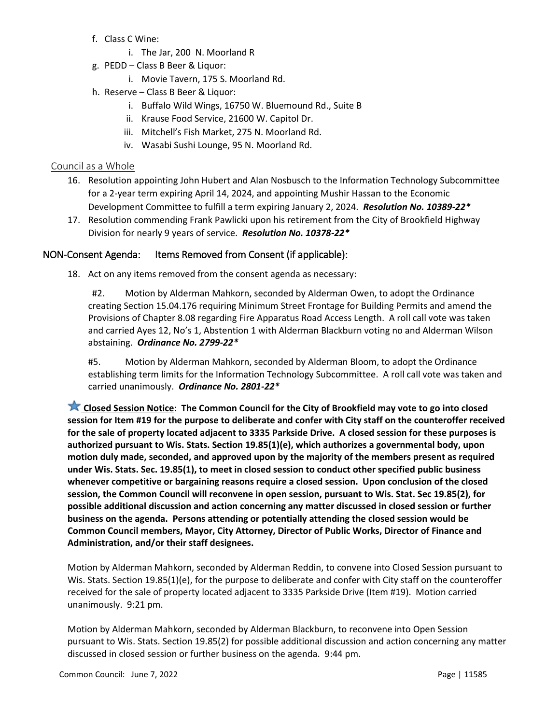- f. Class C Wine:
	- i. The Jar, 200 N. Moorland R
- g. PEDD Class B Beer & Liquor:
	- i. Movie Tavern, 175 S. Moorland Rd.
- h. Reserve Class B Beer & Liquor:
	- i. Buffalo Wild Wings, 16750 W. Bluemound Rd., Suite B
	- ii. Krause Food Service, 21600 W. Capitol Dr.
	- iii. Mitchell's Fish Market, 275 N. Moorland Rd.
	- iv. Wasabi Sushi Lounge, 95 N. Moorland Rd.

### Council as a Whole

- 16. Resolution appointing John Hubert and Alan Nosbusch to the Information Technology Subcommittee for a 2-year term expiring April 14, 2024, and appointing Mushir Hassan to the Economic Development Committee to fulfill a term expiring January 2, 2024. *Resolution No. 10389-22\**
- 17. Resolution commending Frank Pawlicki upon his retirement from the City of Brookfield Highway Division for nearly 9 years of service. *Resolution No. 10378-22\**

#### NON-Consent Agenda: Items Removed from Consent (if applicable):

18. Act on any items removed from the consent agenda as necessary:

#2. Motion by Alderman Mahkorn, seconded by Alderman Owen, to adopt the Ordinance creating Section 15.04.176 requiring Minimum Street Frontage for Building Permits and amend the Provisions of Chapter 8.08 regarding Fire Apparatus Road Access Length. A roll call vote was taken and carried Ayes 12, No's 1, Abstention 1 with Alderman Blackburn voting no and Alderman Wilson abstaining. *Ordinance No. 2799-22\**

#5. Motion by Alderman Mahkorn, seconded by Alderman Bloom, to adopt the Ordinance establishing term limits for the Information Technology Subcommittee. A roll call vote was taken and carried unanimously. *Ordinance No. 2801-22\**

**Closed Session Notice**: **The Common Council for the City of Brookfield may vote to go into closed session for Item #19 for the purpose to deliberate and confer with City staff on the counteroffer received for the sale of property located adjacent to 3335 Parkside Drive. A closed session for these purposes is authorized pursuant to Wis. Stats. Section 19.85(1)(e), which authorizes a governmental body, upon motion duly made, seconded, and approved upon by the majority of the members present as required under Wis. Stats. Sec. 19.85(1), to meet in closed session to conduct other specified public business whenever competitive or bargaining reasons require a closed session. Upon conclusion of the closed session, the Common Council will reconvene in open session, pursuant to Wis. Stat. Sec 19.85(2), for possible additional discussion and action concerning any matter discussed in closed session or further business on the agenda. Persons attending or potentially attending the closed session would be Common Council members, Mayor, City Attorney, Director of Public Works, Director of Finance and Administration, and/or their staff designees.**

Motion by Alderman Mahkorn, seconded by Alderman Reddin, to convene into Closed Session pursuant to Wis. Stats. Section 19.85(1)(e), for the purpose to deliberate and confer with City staff on the counteroffer received for the sale of property located adjacent to 3335 Parkside Drive (Item #19). Motion carried unanimously. 9:21 pm.

Motion by Alderman Mahkorn, seconded by Alderman Blackburn, to reconvene into Open Session pursuant to Wis. Stats. Section 19.85(2) for possible additional discussion and action concerning any matter discussed in closed session or further business on the agenda. 9:44 pm.